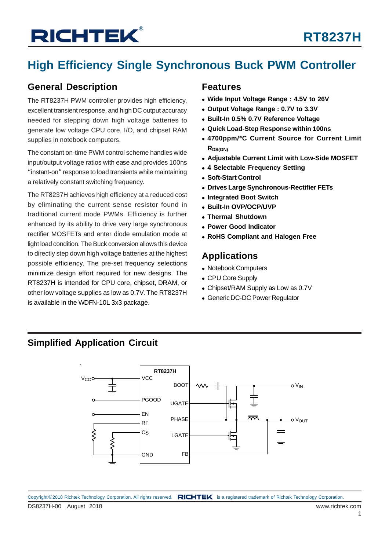# **High Efficiency Single Synchronous Buck PWM Controller**

### **General Description**

The RT8237H PWM controller provides high efficiency, excellent transient response, and high DC output accuracy needed for stepping down high voltage batteries to generate low voltage CPU core, I/O, and chipset RAM supplies in notebook computers.

The constant on-time PWM control scheme handles wide input/output voltage ratios with ease and provides 100ns "instant-on" response to load transients while maintaining a relatively constant switching frequency.

The RT8237H achieves high efficiency at a reduced cost by eliminating the current sense resistor found in traditional current mode PWMs. Efficiency is further enhanced by its ability to drive very large synchronous rectifier MOSFETs and enter diode emulation mode at light load condition. The Buck conversion allows this device to directly step down high voltage batteries at the highest possible efficiency. The pre-set frequency selections minimize design effort required for new designs. The RT8237H is intended for CPU core, chipset, DRAM, or other low voltage supplies as low as 0.7V. The RT8237H is available in the WDFN-10L 3x3 package.

### **Features**

- **Wide Input Voltage Range : 4.5V to 26V**
- **Output Voltage Range : 0.7V to 3.3V**
- **Built-In 0.5% 0.7V Reference Voltage**
- **Quick Load-Step Response within 100ns**
- **4700ppm/**°**C Current Source for Current Limit RDS(ON)**
- **Adjustable Current Limit with Low-Side MOSFET**
- **4 Selectable Frequency Setting**
- **Soft-Start Control**
- **Drives Large Synchronous-Rectifier FETs**
- **Integrated Boot Switch**
- **Built-In OVP/OCP/UVP**
- **Thermal Shutdown**
- **Power Good Indicator**
- **RoHS Compliant and Halogen Free**

### **Applications**

- Notebook Computers
- CPU Core Supply
- Chipset/RAM Supply as Low as 0.7V
- Generic DC-DC Power Regulator

### **Simplified Application Circuit**

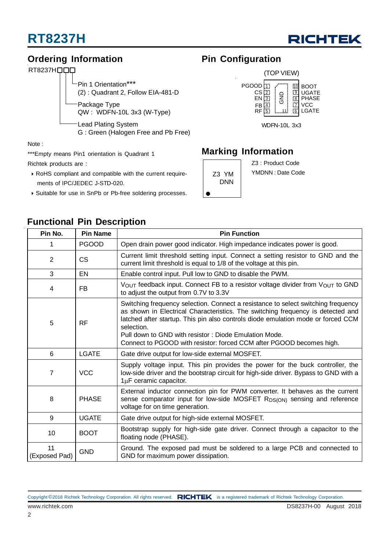

### **Ordering Information Pin Configuration**



Package Type QW : WDFN-10L 3x3 (W-Type) Lead Plating System Pin 1 Orientation\*\*\* (2) : Quadrant 2, Follow EIA-481-D

G : Green (Halogen Free and Pb Free)

Note :

\*\*\*Empty means Pin1 orientation is Quadrant 1

**Functional Pin Description**

Richtek products are :

- RoHS compliant and compatible with the current require ments of IPC/JEDEC J-STD-020.
- Suitable for use in SnPb or Pb-free soldering processes.



### **Marking Information**

DNN

Z3 : Product Code

Z3 YM | YMDNN : Date Code

| Pin No.             | <b>Pin Name</b> | <b>Pin Function</b>                                                                                                                                                                                                                                                                                                                                                                                     |  |  |  |  |  |
|---------------------|-----------------|---------------------------------------------------------------------------------------------------------------------------------------------------------------------------------------------------------------------------------------------------------------------------------------------------------------------------------------------------------------------------------------------------------|--|--|--|--|--|
|                     | <b>PGOOD</b>    | Open drain power good indicator. High impedance indicates power is good.                                                                                                                                                                                                                                                                                                                                |  |  |  |  |  |
| 2                   | CS              | Current limit threshold setting input. Connect a setting resistor to GND and the<br>current limit threshold is equal to 1/8 of the voltage at this pin.                                                                                                                                                                                                                                                 |  |  |  |  |  |
| 3                   | EN              | Enable control input. Pull low to GND to disable the PWM.                                                                                                                                                                                                                                                                                                                                               |  |  |  |  |  |
| 4                   | <b>FB</b>       | VOUT feedback input. Connect FB to a resistor voltage divider from VOUT to GND<br>to adjust the output from 0.7V to 3.3V                                                                                                                                                                                                                                                                                |  |  |  |  |  |
| 5                   | <b>RF</b>       | Switching frequency selection. Connect a resistance to select switching frequency<br>as shown in Electrical Characteristics. The switching frequency is detected and<br>latched after startup. This pin also controls diode emulation mode or forced CCM<br>selection.<br>Pull down to GND with resistor: Diode Emulation Mode.<br>Connect to PGOOD with resistor: forced CCM after PGOOD becomes high. |  |  |  |  |  |
| 6                   | <b>LGATE</b>    | Gate drive output for low-side external MOSFET.                                                                                                                                                                                                                                                                                                                                                         |  |  |  |  |  |
| 7                   | <b>VCC</b>      | Supply voltage input. This pin provides the power for the buck controller, the<br>low-side driver and the bootstrap circuit for high-side driver. Bypass to GND with a<br>1µF ceramic capacitor.                                                                                                                                                                                                        |  |  |  |  |  |
| 8                   | <b>PHASE</b>    | External inductor connection pin for PWM converter. It behaves as the current<br>sense comparator input for low-side MOSFET R <sub>DS(ON)</sub> sensing and reference<br>voltage for on time generation.                                                                                                                                                                                                |  |  |  |  |  |
| 9                   | <b>UGATE</b>    | Gate drive output for high-side external MOSFET.                                                                                                                                                                                                                                                                                                                                                        |  |  |  |  |  |
| 10                  | <b>BOOT</b>     | Bootstrap supply for high-side gate driver. Connect through a capacitor to the<br>floating node (PHASE).                                                                                                                                                                                                                                                                                                |  |  |  |  |  |
| 11<br>(Exposed Pad) | <b>GND</b>      | Ground. The exposed pad must be soldered to a large PCB and connected to<br>GND for maximum power dissipation.                                                                                                                                                                                                                                                                                          |  |  |  |  |  |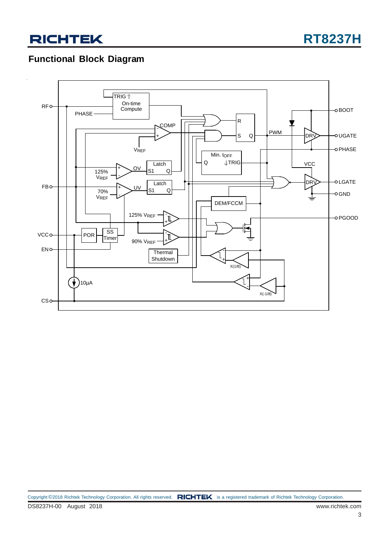### **Functional Block Diagram**

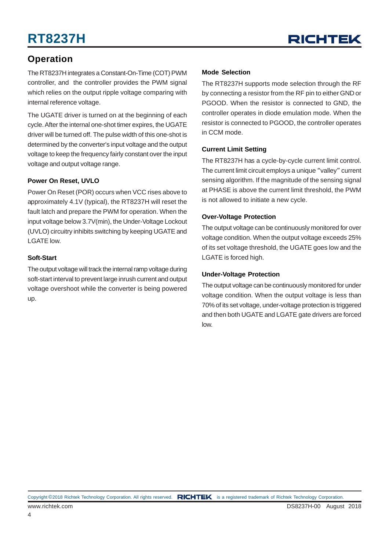

### **Operation**

The RT8237H integrates a Constant-On-Time (COT) PWM controller, and the controller provides the PWM signal which relies on the output ripple voltage comparing with internal reference voltage.

The UGATE driver is turned on at the beginning of each cycle. After the internal one-shot timer expires, the UGATE driver will be turned off. The pulse width of this one-shot is determined by the converter's input voltage and the output voltage to keep the frequency fairly constant over the input voltage and output voltage range.

#### **Power On Reset, UVLO**

Power On Reset (POR) occurs when VCC rises above to approximately 4.1V (typical), the RT8237H will reset the fault latch and prepare the PWM for operation. When the input voltage below 3.7V(min), the Under-Voltage Lockout (UVLO) circuitry inhibits switching by keeping UGATE and LGATE low.

#### **Soft-Start**

The output voltage will track the internal ramp voltage during soft-start interval to prevent large inrush current and output voltage overshoot while the converter is being powered up.

#### **Mode Selection**

The RT8237H supports mode selection through the RF by connecting a resistor from the RF pin to either GND or PGOOD. When the resistor is connected to GND, the controller operates in diode emulation mode. When the resistor is connected to PGOOD, the controller operates in CCM mode.

#### **Current Limit Setting**

The RT8237H has a cycle-by-cycle current limit control. The current limit circuit employs a unique "valley" current sensing algorithm. If the magnitude of the sensing signal at PHASE is above the current limit threshold, the PWM is not allowed to initiate a new cycle.

#### **Over-Voltage Protection**

The output voltage can be continuously monitored for over voltage condition. When the output voltage exceeds 25% of its set voltage threshold, the UGATE goes low and the LGATE is forced high.

#### **Under-Voltage Protection**

The output voltage can be continuously monitored for under voltage condition. When the output voltage is less than 70% of its set voltage, under-voltage protection is triggered and then both UGATE and LGATE gate drivers are forced low.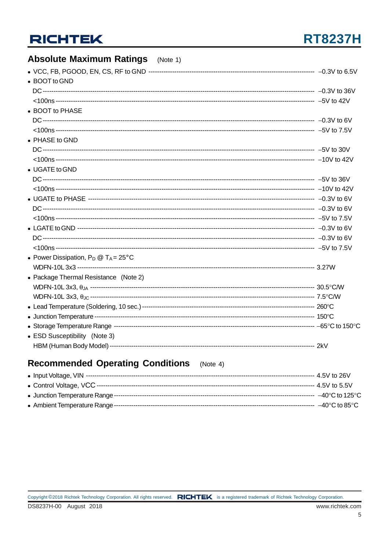# **RT8237H**

#### **Absolute Maximum Ratings**  $(Note 1)$ • BOOT to GND • BOOT to PHASE • PHASE to GND • UGATE to GND • Power Dissipation,  $P_D @ T_A = 25^{\circ}C$ • Package Thermal Resistance (Note 2) • ESD Susceptibility (Note 3)

### **Recommended Operating Conditions** (Note 4)

| $-40^{\circ}$ C to 125 $^{\circ}$ C |
|-------------------------------------|
| $-40^{\circ}$ C to 85 $^{\circ}$ C  |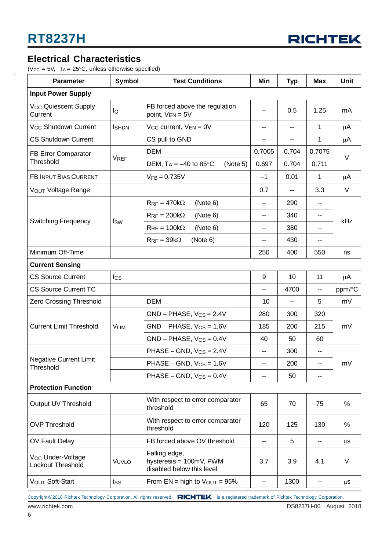

### **Electrical Characteristics**

( $V_{CC}$  = 5V, T<sub>A</sub> = 25°C, unless otherwise specified)

| <b>Parameter</b>                                   | Symbol        | <b>Test Conditions</b>                                                | Min              | <b>Typ</b>     | Max    | <b>Unit</b> |  |  |
|----------------------------------------------------|---------------|-----------------------------------------------------------------------|------------------|----------------|--------|-------------|--|--|
| <b>Input Power Supply</b>                          |               |                                                                       |                  |                |        |             |  |  |
| <b>V<sub>CC</sub></b> Quiescent Supply<br>Current  | lQ            | FB forced above the regulation<br>point, $V_{EN} = 5V$                | --               | 0.5            | 1.25   | mA          |  |  |
| V <sub>CC</sub> Shutdown Current                   | <b>I</b> SHDN | $V_{CC}$ current, $V_{EN} = 0V$                                       | $-$              | $\overline{a}$ | 1      | μA          |  |  |
| <b>CS Shutdown Current</b>                         |               | CS pull to GND                                                        | --               | --             | 1      | μA          |  |  |
| FB Error Comparator                                |               | <b>DEM</b>                                                            | 0.7005           | 0.704          | 0.7075 | $\vee$      |  |  |
| Threshold                                          | <b>VREF</b>   | DEM, $T_A = -40$ to 85°C<br>(Note 5)                                  | 0.697            | 0.704          | 0.711  |             |  |  |
| FB INPUT BIAS CURRENT                              |               | $V_{FB} = 0.735V$                                                     | $-1$             | 0.01           | 1      | μA          |  |  |
| VOUT Voltage Range                                 |               |                                                                       | 0.7              | 44             | 3.3    | V           |  |  |
|                                                    |               | $R_{RF} = 470k\Omega$<br>(Note 6)                                     | --               | 290            | --     |             |  |  |
|                                                    |               | $R_{RF} = 200k\Omega$<br>(Note 6)                                     | --               | 340            | ۰.     |             |  |  |
| <b>Switching Frequency</b>                         | fsw           | $R_{RF} = 100k\Omega$<br>(Note 6)                                     | --               | 380            | --     | kHz         |  |  |
|                                                    |               | $R_{RF} = 39k\Omega$<br>(Note 6)                                      | --               | 430            | --     |             |  |  |
| Minimum Off-Time                                   |               |                                                                       | 550              | ns             |        |             |  |  |
| <b>Current Sensing</b>                             |               |                                                                       |                  |                |        |             |  |  |
| <b>CS Source Current</b>                           | <b>I</b> cs   |                                                                       | 9                | 10             | 11     | μA          |  |  |
| <b>CS Source Current TC</b>                        |               |                                                                       | --               | 4700           | --     | ppm/°C      |  |  |
| Zero Crossing Threshold                            |               | <b>DEM</b>                                                            | $-10$            | --             | 5      | mV          |  |  |
|                                                    | <b>VLIM</b>   | $GND - PHASE$ , $V_{CS} = 2.4V$<br>280                                |                  | 300            | 320    |             |  |  |
| <b>Current Limit Threshold</b>                     |               | $GND - PHASE, V_{CS} = 1.6V$                                          | 185              | 200            | 215    | mV          |  |  |
|                                                    |               | $GND - PHASE, V_{CS} = 0.4V$<br>40<br>50                              |                  |                |        |             |  |  |
|                                                    |               | PHASE $-$ GND, $V_{CS} = 2.4V$                                        | --               | 300            | --     |             |  |  |
| <b>Negative Current Limit</b><br>Threshold         |               | $PHASE - GND, V_{CS} = 1.6V$                                          | ۰.               | 200            | --     | mV          |  |  |
|                                                    |               | PHASE – GND, $V_{CS} = 0.4V$                                          | --               | 50             | --     |             |  |  |
| <b>Protection Function</b>                         |               |                                                                       |                  |                |        |             |  |  |
| Output UV Threshold                                |               | With respect to error comparator<br>threshold                         | 75               | %              |        |             |  |  |
| <b>OVP Threshold</b>                               |               | With respect to error comparator<br>120<br>125<br>130<br>threshold    |                  |                |        | $\%$        |  |  |
| OV Fault Delay                                     |               | 5<br>FB forced above OV threshold<br>--                               |                  |                | --     | $\mu$ S     |  |  |
| V <sub>CC</sub> Under-Voltage<br>Lockout Threshold | VUVLO         | Falling edge,<br>hysteresis = 100mV, PWM<br>disabled below this level | 3.7              | 3.9            | 4.1    | V           |  |  |
| VOUT Soft-Start                                    | tss           | From $EN = high to VOUT = 95%$                                        | 1300<br>--<br>-- |                |        |             |  |  |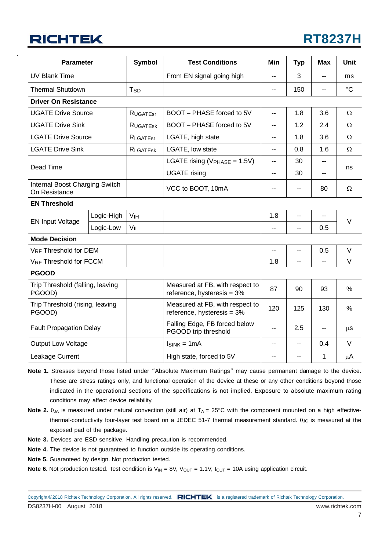# **RT8237H**

|                                                 | <b>Parameter</b> |                 | <b>Test Conditions</b>                                                  | Min            | <b>Typ</b> | <b>Max</b>     | Unit          |  |
|-------------------------------------------------|------------------|-----------------|-------------------------------------------------------------------------|----------------|------------|----------------|---------------|--|
| <b>UV Blank Time</b>                            |                  |                 | From EN signal going high                                               |                | 3          |                | ms            |  |
| <b>Thermal Shutdown</b>                         |                  | T <sub>SD</sub> |                                                                         | $-$            | 150        | $\overline{a}$ | $\circ$ C     |  |
| <b>Driver On Resistance</b>                     |                  |                 |                                                                         |                |            |                |               |  |
| <b>UGATE Drive Source</b>                       |                  | <b>RUGATEST</b> | BOOT - PHASE forced to 5V                                               | $-$            | 1.8        | 3.6            | Ω             |  |
| <b>UGATE Drive Sink</b>                         |                  | <b>RUGATESK</b> | BOOT - PHASE forced to 5V                                               | $\overline{a}$ | 1.2        | 2.4            | Ω             |  |
| <b>LGATE Drive Source</b>                       |                  | <b>RLGATEST</b> | LGATE, high state                                                       | --             | 1.8        | 3.6            | $\Omega$      |  |
| <b>LGATE Drive Sink</b>                         |                  | <b>RLGATESK</b> | LGATE, low state                                                        | --             | 0.8        | 1.6            | $\Omega$      |  |
|                                                 |                  |                 | LGATE rising (VPHASE = 1.5V)                                            | $\overline{a}$ | 30         | $\overline{a}$ |               |  |
| Dead Time                                       |                  |                 | <b>UGATE</b> rising                                                     | 30<br>--       |            |                | ns            |  |
| Internal Boost Charging Switch<br>On Resistance |                  |                 | VCC to BOOT, 10mA                                                       | --             | --         | 80             | Ω             |  |
| <b>EN Threshold</b>                             |                  |                 |                                                                         |                |            |                |               |  |
|                                                 | Logic-High       | V <sub>IH</sub> |                                                                         | 1.8            | $-$        | --             | $\vee$        |  |
| <b>EN Input Voltage</b>                         | Logic-Low        | $V_{IL}$        |                                                                         | $\overline{a}$ | $-$        | 0.5            |               |  |
| <b>Mode Decision</b>                            |                  |                 |                                                                         |                |            |                |               |  |
| <b>VRF Threshold for DEM</b>                    |                  |                 |                                                                         | --             | --         | 0.5            | $\vee$        |  |
| VRF Threshold for FCCM                          |                  |                 |                                                                         | 1.8            | --         | $\overline{a}$ | $\vee$        |  |
| <b>PGOOD</b>                                    |                  |                 |                                                                         |                |            |                |               |  |
| Trip Threshold (falling, leaving<br>PGOOD)      |                  |                 | Measured at FB, with respect to<br>reference, hysteresis = $3\%$        | 87             | 90         | 93             | $\frac{0}{0}$ |  |
| Trip Threshold (rising, leaving<br>PGOOD)       |                  |                 | Measured at FB, with respect to<br>120<br>reference, hysteresis = $3\%$ |                | 125        | 130            | %             |  |
| <b>Fault Propagation Delay</b>                  |                  |                 | Falling Edge, FB forced below<br>PGOOD trip threshold                   | $\overline{a}$ | 2.5        | --             | $\mu$ S       |  |
| Output Low Voltage                              |                  |                 | $I_{SINK} = 1mA$                                                        | --             | --         | 0.4            | $\vee$        |  |
| Leakage Current                                 |                  |                 | High state, forced to 5V                                                | $-$            | $-$        | 1              | $\mu$ A       |  |

- **Note 1.** Stresses beyond those listed under "Absolute Maximum Ratings" may cause permanent damage to the device. These are stress ratings only, and functional operation of the device at these or any other conditions beyond those indicated in the operational sections of the specifications is not implied. Exposure to absolute maximum rating conditions may affect device reliability.
- **Note 2.**  $\theta_{JA}$  is measured under natural convection (still air) at  $T_A = 25^{\circ}C$  with the component mounted on a high effectivethermal-conductivity four-layer test board on a JEDEC 51-7 thermal measurement standard.  $\theta_{\text{JC}}$  is measured at the exposed pad of the package.
- **Note 3.** Devices are ESD sensitive. Handling precaution is recommended.
- **Note 4.** The device is not guaranteed to function outside its operating conditions.
- **Note 5.** Guaranteed by design. Not production tested.
- **Note 6.** Not production tested. Test condition is  $V_{IN} = 8V$ ,  $V_{OUT} = 1.1V$ ,  $I_{OUT} = 10A$  using application circuit.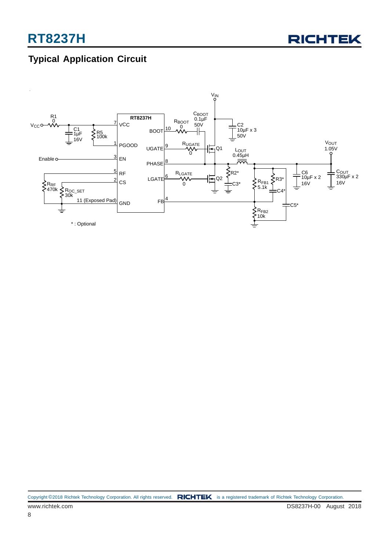### **Typical Application Circuit**

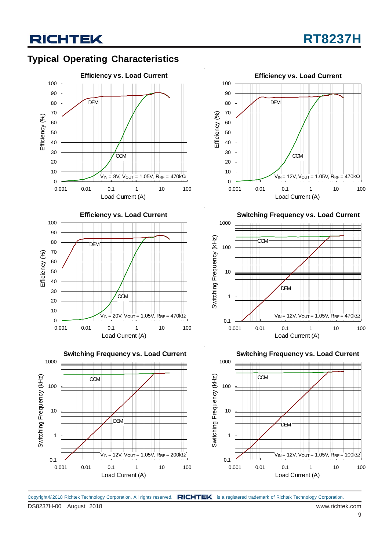### **Typical Operating Characteristics**









**Switching Frequency vs. Load Current**



**Switching Frequency vs. Load Current**



Copyright ©2018 Richtek Technology Corporation. All rights reserved. RICHTEK is a registered trademark of Richtek Technology Corporation.

DS8237H-00 August 2018 www.richtek.com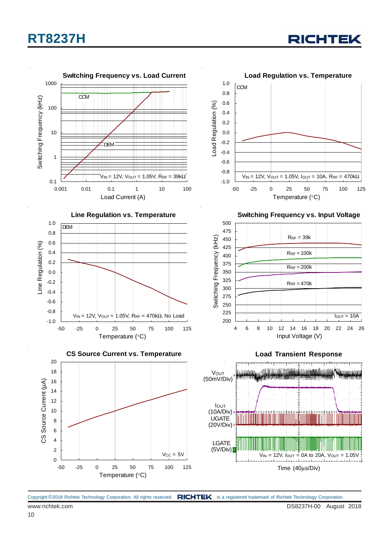





Copyright ©2018 Richtek Technology Corporation. All rights reserved. RICHTEK is a registered trademark of Richtek Technology Corporation.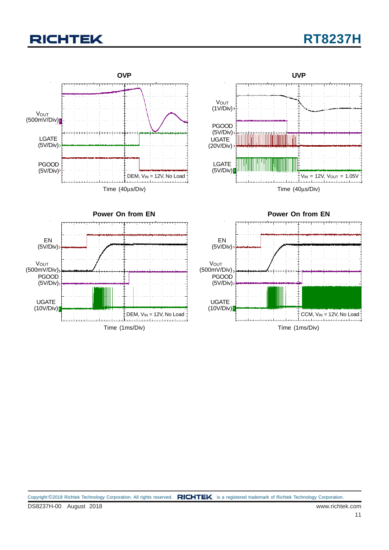# **RT8237H**

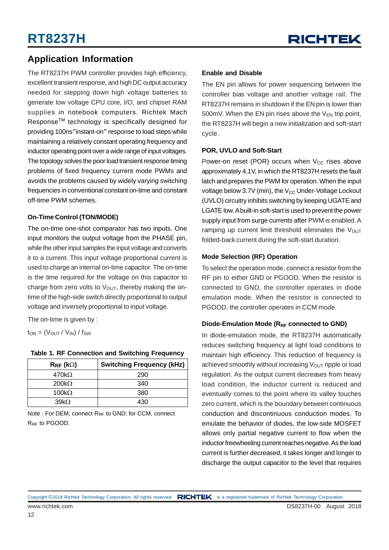### **Application Information**

The RT8237H PWM controller provides high efficiency, excellent transient response, and high DC output accuracy needed for stepping down high voltage batteries to generate low voltage CPU core, I/O, and chipset RAM supplies in notebook computers. Richtek Mach ResponseTM technology is specifically designed for providing 100ns"instant-on" response to load steps while maintaining a relatively constant operating frequency and inductor operating point over a wide range of input voltages. The topology solves the poor load transient response timing problems of fixed frequency current mode PWMs and avoids the problems caused by widely varying switching frequencies in conventional constant on-time and constant off-time PWM schemes.

#### **On-Time Control (TON/MODE)**

The on-time one-shot comparator has two inputs. One input monitors the output voltage from the PHASE pin, while the other input samples the input voltage and converts it to a current. This input voltage proportional current is used to charge an internal on-time capacitor. The on-time is the time required for the voltage on this capacitor to charge from zero volts to  $V<sub>OUT</sub>$ , thereby making the ontime of the high-side switch directly proportional to output voltage and inversely proportional to input voltage.

The on-time is given by :

 $t_{ON} = (V_{OUT} / V_{IN}) / f_{SW}$ 

| <b>Table 1. RF Connection and Switching Frequency</b> |  |
|-------------------------------------------------------|--|
|-------------------------------------------------------|--|

| $R_{RF}$ (k $\Omega$ ) | <b>Switching Frequency (kHz)</b> |
|------------------------|----------------------------------|
| 470k $\Omega$          | 290                              |
| $200k\Omega$           | 340                              |
| 100 $k\Omega$          | 380                              |
| $39k\Omega$            | 430                              |

Note : For DEM, connect R<sub>RF</sub> to GND; for CCM, connect R<sub>RF</sub> to PGOOD.

#### **Enable and Disable**

The EN pin allows for power sequencing between the controller bias voltage and another voltage rail. The RT8237H remains in shutdown if the EN pin is lower than 500mV. When the EN pin rises above the  $V_{FN}$  trip point, the RT8237H will begin a new initialization and soft-start cycle.

#### **POR, UVLO and Soft-Start**

Power-on reset (POR) occurs when  $V_{CC}$  rises above approximately 4.1V, in which the RT8237H resets the fault latch and prepares the PWM for operation. When the input voltage below 3.7V (min), the  $V_{CC}$  Under-Voltage Lockout (UVLO) circuitry inhibits switching by keeping UGATE and LGATE low. A built-in soft-start is used to prevent the power supply input from surge currents after PWM is enabled. A ramping up current limit threshold eliminates the  $V_{\text{OUT}}$ folded-back current during the soft-start duration.

#### **Mode Selection (RF) Operation**

To select the operation mode, connect a resistor from the RF pin to either GND or PGOOD. When the resistor is connected to GND, the controller operates in diode emulation mode. When the resistor is connected to PGOOD, the controller operates in CCM mode.

#### Diode-Emulation Mode (R<sub>RF</sub> connected to GND)

In diode-emulation mode, the RT8237H automatically reduces switching frequency at light load conditions to maintain high efficiency. This reduction of frequency is achieved smoothly without increasing  $V_{\text{OUT}}$  ripple or load regulation. As the output current decreases from heavy load condition, the inductor current is reduced and eventually comes to the point where its valley touches zero current, which is the boundary between continuous conduction and discontinuous conduction modes. To emulate the behavior of diodes, the low-side MOSFET allows only partial negative current to flow when the inductor freewheeling current reaches negative. As the load current is further decreased, it takes longer and longer to discharge the output capacitor to the level that requires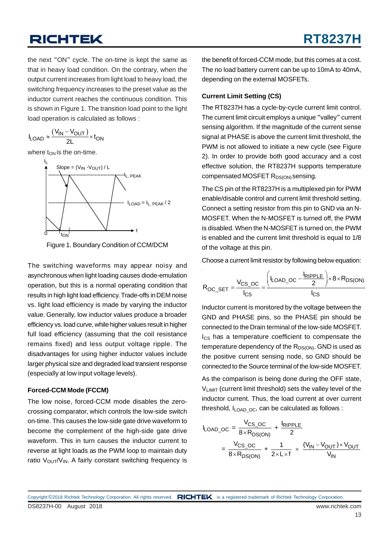the next "ON" cycle. The on-time is kept the same as that in heavy load condition. On the contrary, when the output current increases from light load to heavy load, the switching frequency increases to the preset value as the inductor current reaches the continuous condition. This is shown in Figure 1. The transition load point to the light load operation is calculated as follows :

$$
I_{LOAD} \approx \frac{(V_{IN} - V_{OUT})}{2L} \times t_{ON}
$$

where  $t_{ON}$  is the on-time.





The switching waveforms may appear noisy and asynchronous when light loading causes diode-emulation operation, but this is a normal operating condition that results in high light load efficiency. Trade-offs in DEM noise vs. light load efficiency is made by varying the inductor value. Generally, low inductor values produce a broader efficiency vs. load curve, while higher values result in higher full load efficiency (assuming that the coil resistance remains fixed) and less output voltage ripple. The disadvantages for using higher inductor values include larger physical size and degraded load transient response (especially at low input voltage levels).

#### **Forced-CCM Mode (FCCM)**

The low noise, forced-CCM mode disables the zerocrossing comparator, which controls the low-side switch on-time. This causes the low-side gate drive waveform to become the complement of the high-side gate drive waveform. This in turn causes the inductor current to reverse at light loads as the PWM loop to maintain duty ratio  $V_{\text{OUT}}/V_{\text{IN}}$ . A fairly constant switching frequency is

the benefit of forced-CCM mode, but this comes at a cost. The no load battery current can be up to 10mA to 40mA, depending on the external MOSFETs.

#### **Current Limit Setting (CS)**

The RT8237H has a cycle-by-cycle current limit control. The current limit circuit employs a unique "valley" current sensing algorithm. If the magnitude of the current sense signal at PHASE is above the current limit threshold, the PWM is not allowed to initiate a new cycle (see Figure 2). In order to provide both good accuracy and a cost effective solution, the RT8237H supports temperature compensated MOSFET R<sub>DS(ON)</sub> sensing.

The CS pin of the RT8237H is a multiplexed pin for PWM enable/disable control and current limit threshold setting. Connect a setting resistor from this pin to GND via an N-MOSFET. When the N-MOSFET is turned off, the PWM is disabled. When the N-MOSFET is turned on, the PWM is enabled and the current limit threshold is equal to 1/8 of the voltage at this pin.

Choose a current limit resistor by following below equation:

$$
R_{OC\_SET} = \frac{V_{CS\_OC}}{I_{CS}} = \frac{\left(I_{LOAD\_OC} - \frac{I_{RIPPLE}}{2}\right) \times 8 \times R_{DS(ON)}}{I_{CS}}
$$

Inductor current is monitored by the voltage between the GND and PHASE pins, so the PHASE pin should be connected to the Drain terminal of the low-side MOSFET. Ics has a temperature coefficient to compensate the temperature dependency of the  $R_{DS(ON)}$ . GND is used as the positive current sensing node, so GND should be connected to the Source terminal of the low-side MOSFET.

As the comparison is being done during the OFF state, VLIMIT (current limit threshold) sets the valley level of the inductor current. Thus, the load current at over current threshold,  $I_{LOADOC}$ , can be calculated as follows :

$$
I_{\text{LOAD\_OC}} = \frac{V_{\text{CS\_OC}}}{8 \times R_{\text{DS(ON)}}} + \frac{I_{\text{RIPPLE}}}{2}
$$

$$
= \frac{V_{\text{CS\_OC}}}{8 \times R_{\text{DS(ON)}}} + \frac{1}{2 \times L \times f} \times \frac{(V_{\text{IN}} - V_{\text{OUT}}) \times V_{\text{OUT}}}{V_{\text{IN}}}
$$

DS8237H-00 August 2018 www.richtek.com Copyright ©2018 Richtek Technology Corporation. All rights reserved. RICHTEK is a registered trademark of Richtek Technology Corporation.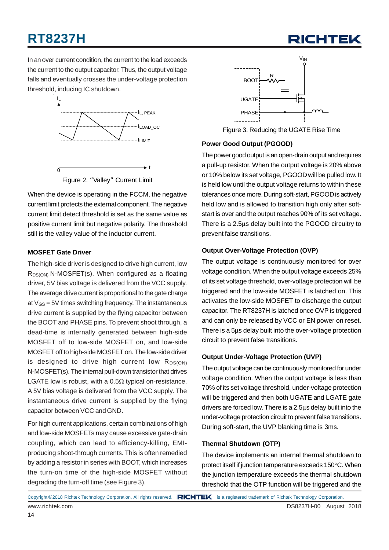

In an over current condition, the current to the load exceeds the current to the output capacitor. Thus, the output voltage falls and eventually crosses the under-voltage protection threshold, inducing IC shutdown.



Figure 2. "Valley" Current Limit

When the device is operating in the FCCM, the negative current limit protects the external component. The negative current limit detect threshold is set as the same value as positive current limit but negative polarity. The threshold still is the valley value of the inductor current.

#### **MOSFET Gate Driver**

The high-side driver is designed to drive high current, low  $R_{DS(ON)}$  N-MOSFET(s). When configured as a floating driver, 5V bias voltage is delivered from the VCC supply. The average drive current is proportional to the gate charge at  $V_{GS}$  = 5V times switching frequency. The instantaneous drive current is supplied by the flying capacitor between the BOOT and PHASE pins. To prevent shoot through, a dead-time is internally generated between high-side MOSFET off to low-side MOSFET on, and low-side MOSFET off to high-side MOSFET on. The low-side driver is designed to drive high current low  $R_{DS(ON)}$ N-MOSFET(s). The internal pull-down transistor that drives LGATE low is robust, with a  $0.5\Omega$  typical on-resistance. A 5V bias voltage is delivered from the VCC supply. The instantaneous drive current is supplied by the flying capacitor between VCC and GND.

For high current applications, certain combinations of high and low-side MOSFETs may cause excessive gate-drain coupling, which can lead to efficiency-killing, EMIproducing shoot-through currents. This is often remedied by adding a resistor in series with BOOT, which increases the turn-on time of the high-side MOSFET without degrading the turn-off time (see Figure 3).



Figure 3. Reducing the UGATE Rise Time

#### **Power Good Output (PGOOD)**

The power good output is an open-drain output and requires a pull-up resistor. When the output voltage is 20% above or 10% below its set voltage, PGOOD will be pulled low. It is held low until the output voltage returns to within these tolerances once more. During soft-start, PGOOD is actively held low and is allowed to transition high only after softstart is over and the output reaches 90% of its set voltage. There is a 2.5μs delay built into the PGOOD circuitry to prevent false transitions.

#### **Output Over-Voltage Protection (OVP)**

The output voltage is continuously monitored for over voltage condition. When the output voltage exceeds 25% of its set voltage threshold, over-voltage protection will be triggered and the low-side MOSFET is latched on. This activates the low-side MOSFET to discharge the output capacitor. The RT8237H is latched once OVP is triggered and can only be released by VCC or EN power on reset. There is a 5μs delay built into the over-voltage protection circuit to prevent false transitions.

#### **Output Under-Voltage Protection (UVP)**

The output voltage can be continuously monitored for under voltage condition. When the output voltage is less than 70% of its set voltage threshold, under-voltage protection will be triggered and then both UGATE and LGATE gate drivers are forced low. There is a 2.5μs delay built into the under-voltage protection circuit to prevent false transitions. During soft-start, the UVP blanking time is 3ms.

#### **Thermal Shutdown (OTP)**

The device implements an internal thermal shutdown to protect itself if junction temperature exceeds 150°C. When the junction temperature exceeds the thermal shutdown threshold that the OTP function will be triggered and the

```
Copyright ©2018 Richtek Technology Corporation. All rights reserved. RICHTEK is a registered trademark of Richtek Technology Corporation.
```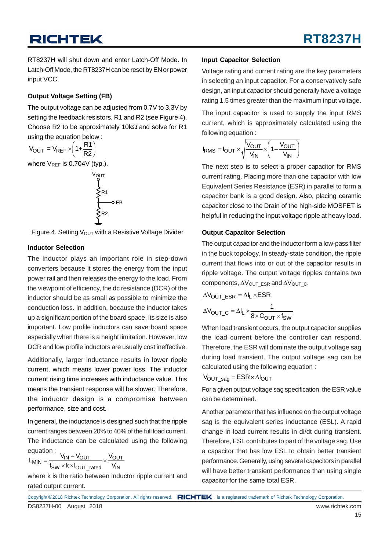RT8237H will shut down and enter Latch-Off Mode. In Latch-Off Mode, the RT8237H can be reset by EN or power input VCC.

#### **Output Voltage Setting (FB)**

The output voltage can be adjusted from 0.7V to 3.3V by setting the feedback resistors, R1 and R2 (see Figure 4). Choose R2 to be approximately 10kΩ and solve for R1 using the equation below :

$$
V_{OUT} = V_{REF} \times \left(1 + \frac{R1}{R2}\right)
$$

where V<sub>REF</sub> is 0.704V (typ.).

$$
\begin{array}{c}\n\vee_{\text{OUT}} \\
\searrow_{\text{R1}} \\
\searrow_{\text{R2}} \\
\searrow_{\text{R2}} \\
\end{array}
$$

Figure 4. Setting  $V_{\text{OUT}}$  with a Resistive Voltage Divider

#### **Inductor Selection**

The inductor plays an important role in step-down converters because it stores the energy from the input power rail and then releases the energy to the load. From the viewpoint of efficiency, the dc resistance (DCR) of the inductor should be as small as possible to minimize the conduction loss. In addition, because the inductor takes up a significant portion of the board space, its size is also important. Low profile inductors can save board space especially when there is a height limitation. However, low DCR and low profile inductors are usually cost ineffective.

Additionally, larger inductance results in lower ripple current, which means lower power loss. The inductor current rising time increases with inductance value. This means the transient response will be slower. Therefore, the inductor design is a compromise between performance, size and cost.

In general, the inductance is designed such that the ripple current ranges between 20% to 40% of the full load current. The inductance can be calculated using the following equation :

$$
L_{MIN} = \frac{V_{IN} - V_{OUT}}{f_{SW} \times k \times I_{OUT\_rated}} \times \frac{V_{OUT}}{V_{IN}}
$$

where k is the ratio between inductor ripple current and rated output current.

#### **Input Capacitor Selection**

Voltage rating and current rating are the key parameters in selecting an input capacitor. For a conservatively safe design, an input capacitor should generally have a voltage rating 1.5 times greater than the maximum input voltage.

The input capacitor is used to supply the input RMS current, which is approximately calculated using the following equation :

$$
I_{RMS} = I_{OUT} \times \sqrt{\frac{V_{OUT}}{V_{IN}}} \times \left(1 - \frac{V_{OUT}}{V_{IN}}\right)
$$

The next step is to select a proper capacitor for RMS current rating. Placing more than one capacitor with low Equivalent Series Resistance (ESR) in parallel to form a capacitor bank is a good design. Also, placing ceramic capacitor close to the Drain of the high-side MOSFET is helpful in reducing the input voltage ripple at heavy load.

#### **Output Capacitor Selection**

The output capacitor and the inductor form a low-pass filter in the buck topology. In steady-state condition, the ripple current that flows into or out of the capacitor results in ripple voltage. The output voltage ripples contains two components,  $\Delta V_{\text{OUT}}$  ESR and  $\Delta V_{\text{OUT}}$  c.

$$
\Delta V_{OUT\_ESR} = \Delta I_L \times ESR
$$

$$
\Delta V_{OUT\_C} = \Delta I_L \times \frac{1}{8 \times C_{OUT} \times f_{SW}}
$$

When load transient occurs, the output capacitor supplies the load current before the controller can respond. Therefore, the ESR will dominate the output voltage sag during load transient. The output voltage sag can be calculated using the following equation :

$$
V_{OUT\_sag} = ESR \times \Delta I_{OUT}
$$

For a given output voltage sag specification, the ESR value can be determined.

Another parameter that has influence on the output voltage sag is the equivalent series inductance (ESL). A rapid change in load current results in di/dt during transient. Therefore, ESL contributes to part of the voltage sag. Use a capacitor that has low ESL to obtain better transient performance. Generally, using several capacitors in parallel will have better transient performance than using single capacitor for the same total ESR.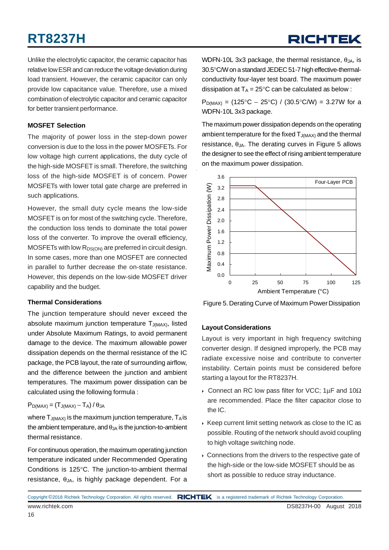Unlike the electrolytic capacitor, the ceramic capacitor has relative low ESR and can reduce the voltage deviation during load transient. However, the ceramic capacitor can only provide low capacitance value. Therefore, use a mixed combination of electrolytic capacitor and ceramic capacitor for better transient performance.

#### **MOSFET Selection**

The majority of power loss in the step-down power conversion is due to the loss in the power MOSFETs. For low voltage high current applications, the duty cycle of the high-side MOSFET is small. Therefore, the switching loss of the high-side MOSFET is of concern. Power MOSFETs with lower total gate charge are preferred in such applications.

However, the small duty cycle means the low-side MOSFET is on for most of the switching cycle. Therefore, the conduction loss tends to dominate the total power loss of the converter. To improve the overall efficiency, MOSFETs with low  $R_{DS(ON)}$  are preferred in circuit design. In some cases, more than one MOSFET are connected in parallel to further decrease the on-state resistance. However, this depends on the low-side MOSFET driver capability and the budget.

#### **Thermal Considerations**

The junction temperature should never exceed the absolute maximum junction temperature  $T_{J(MAX)}$ , listed under Absolute Maximum Ratings, to avoid permanent damage to the device. The maximum allowable power dissipation depends on the thermal resistance of the IC package, the PCB layout, the rate of surrounding airflow, and the difference between the junction and ambient temperatures. The maximum power dissipation can be calculated using the following formula :

#### $P_{D(MAX)} = (T_{J(MAX)} - T_A) / \theta_{JA}$

where  $T_{J(MAX)}$  is the maximum junction temperature,  $T_A$  is the ambient temperature, and  $\theta_{JA}$  is the junction-to-ambient thermal resistance.

For continuous operation, the maximum operating junction temperature indicated under Recommended Operating Conditions is 125°C. The junction-to-ambient thermal resistance,  $\theta_{JA}$ , is highly package dependent. For a

WDFN-10L 3x3 package, the thermal resistance,  $\theta_{JA}$ , is 30.5°C/W on a standard JEDEC 51-7 high effective-thermalconductivity four-layer test board. The maximum power dissipation at  $T_A = 25^{\circ}C$  can be calculated as below :

 $P_{D(MAX)} = (125^{\circ}C - 25^{\circ}C) / (30.5^{\circ}C/W) = 3.27W$  for a WDFN-10L 3x3 package.

The maximum power dissipation depends on the operating ambient temperature for the fixed  $T_{J(MAX)}$  and the thermal resistance,  $\theta_{JA}$ . The derating curves in Figure 5 allows the designer to see the effect of rising ambient temperature on the maximum power dissipation.



Figure 5. Derating Curve of Maximum Power Dissipation

#### **Layout Considerations**

Layout is very important in high frequency switching converter design. If designed improperly, the PCB may radiate excessive noise and contribute to converter instability. Certain points must be considered before starting a layout for the RT8237H.

- Connect an RC low pass filter for VCC; 1  $\mu$ F and 10 $\Omega$ are recommended. Place the filter capacitor close to the IC.
- $\triangleright$  Keep current limit setting network as close to the IC as possible. Routing of the network should avoid coupling to high voltage switching node.
- Connections from the drivers to the respective gate of the high-side or the low-side MOSFET should be as short as possible to reduce stray inductance.

Copyright ©2018 Richtek Technology Corporation. All rights reserved. RICHTEK is a registered trademark of Richtek Technology Corporation.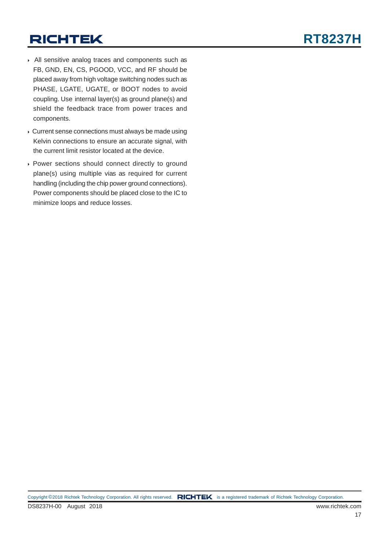- All sensitive analog traces and components such as FB, GND, EN, CS, PGOOD, VCC, and RF should be placed away from high voltage switching nodes such as PHASE, LGATE, UGATE, or BOOT nodes to avoid coupling. Use internal layer(s) as ground plane(s) and shield the feedback trace from power traces and components.
- Current sense connections must always be made using Kelvin connections to ensure an accurate signal, with the current limit resistor located at the device.
- Power sections should connect directly to ground plane(s) using multiple vias as required for current handling (including the chip power ground connections). Power components should be placed close to the IC to minimize loops and reduce losses.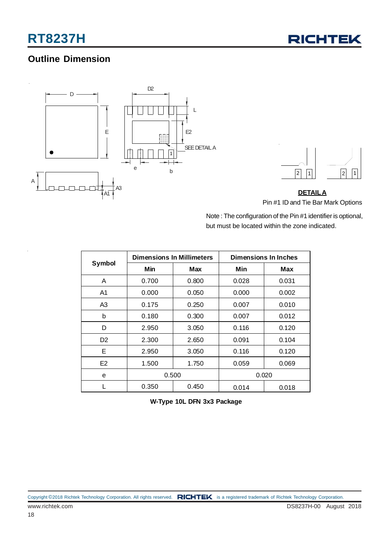### **Outline Dimension**





### **DETAILA** Pin #1 ID and Tie Bar Mark Options

Note : The configuration of the Pin #1 identifier is optional, but must be located within the zone indicated.

|                |       | <b>Dimensions In Millimeters</b> | <b>Dimensions In Inches</b> |       |  |  |
|----------------|-------|----------------------------------|-----------------------------|-------|--|--|
| <b>Symbol</b>  | Min   | Max                              | Min                         | Max   |  |  |
| A              | 0.700 | 0.800                            | 0.028                       | 0.031 |  |  |
| A1             | 0.000 | 0.050                            | 0.000                       | 0.002 |  |  |
| A3             | 0.175 | 0.250                            | 0.007                       | 0.010 |  |  |
| b              | 0.180 | 0.300                            | 0.007                       | 0.012 |  |  |
| D              | 2.950 | 3.050                            | 0.116                       | 0.120 |  |  |
| D <sub>2</sub> | 2.300 | 2.650                            | 0.091                       | 0.104 |  |  |
| Е              | 2.950 | 3.050                            | 0.116                       | 0.120 |  |  |
| E <sub>2</sub> | 1.500 |                                  | 0.059                       | 0.069 |  |  |
| e              | 0.500 |                                  |                             | 0.020 |  |  |
|                | 0.350 | 0.450                            | 0.014                       | 0.018 |  |  |

**W-Type 10L DFN 3x3 Package**